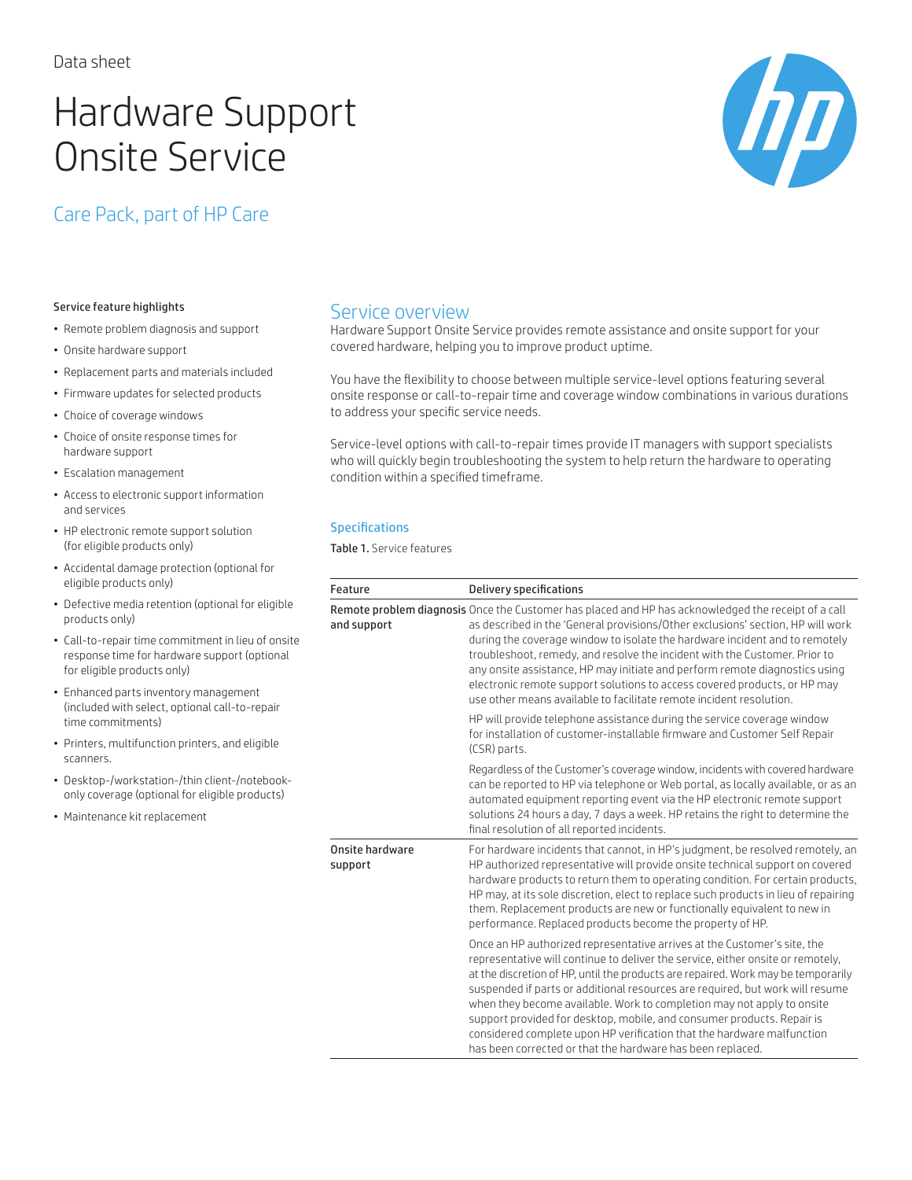# Hardware Support Onsite Service



# Care Pack, part of HP Care

#### Service feature highlights

- Remote problem diagnosis and support
- Onsite hardware support
- Replacement parts and materials included
- Firmware updates for selected products
- Choice of coverage windows
- Choice of onsite response times for hardware support
- Escalation management
- Access to electronic support information and services
- HP electronic remote support solution (for eligible products only)
- Accidental damage protection (optional for eligible products only)
- Defective media retention (optional for eligible products only)
- Call-to-repair time commitment in lieu of onsite response time for hardware support (optional for eligible products only)
- Enhanced parts inventory management (included with select, optional call-to-repair time commitments)
- Printers, multifunction printers, and eligible scanners.
- Desktop-/workstation-/thin client-/notebookonly coverage (optional for eligible products)
- Maintenance kit replacement

# Service overview

Hardware Support Onsite Service provides remote assistance and onsite support for your covered hardware, helping you to improve product uptime.

You have the flexibility to choose between multiple service-level options featuring several onsite response or call-to-repair time and coverage window combinations in various durations to address your specific service needs.

Service-level options with call-to-repair times provide IT managers with support specialists who will quickly begin troubleshooting the system to help return the hardware to operating condition within a specified timeframe.

#### Specifications

Table 1. Service features

| Feature                    | <b>Delivery specifications</b>                                                                                                                                                                                                                                                                                                                                                                                                                                                                                                                                                                                                |
|----------------------------|-------------------------------------------------------------------------------------------------------------------------------------------------------------------------------------------------------------------------------------------------------------------------------------------------------------------------------------------------------------------------------------------------------------------------------------------------------------------------------------------------------------------------------------------------------------------------------------------------------------------------------|
| and support                | Remote problem diagnosis Once the Customer has placed and HP has acknowledged the receipt of a call<br>as described in the 'General provisions/Other exclusions' section, HP will work<br>during the coverage window to isolate the hardware incident and to remotely<br>troubleshoot, remedy, and resolve the incident with the Customer. Prior to<br>any onsite assistance, HP may initiate and perform remote diagnostics using<br>electronic remote support solutions to access covered products, or HP may<br>use other means available to facilitate remote incident resolution.                                        |
|                            | HP will provide telephone assistance during the service coverage window<br>for installation of customer-installable firmware and Customer Self Repair<br>(CSR) parts.                                                                                                                                                                                                                                                                                                                                                                                                                                                         |
|                            | Regardless of the Customer's coverage window, incidents with covered hardware<br>can be reported to HP via telephone or Web portal, as locally available, or as an<br>automated equipment reporting event via the HP electronic remote support<br>solutions 24 hours a day, 7 days a week. HP retains the right to determine the<br>final resolution of all reported incidents.                                                                                                                                                                                                                                               |
| Onsite hardware<br>support | For hardware incidents that cannot, in HP's judgment, be resolved remotely, an<br>HP authorized representative will provide onsite technical support on covered<br>hardware products to return them to operating condition. For certain products,<br>HP may, at its sole discretion, elect to replace such products in lieu of repairing<br>them. Replacement products are new or functionally equivalent to new in<br>performance. Replaced products become the property of HP.                                                                                                                                              |
|                            | Once an HP authorized representative arrives at the Customer's site, the<br>representative will continue to deliver the service, either onsite or remotely,<br>at the discretion of HP, until the products are repaired. Work may be temporarily<br>suspended if parts or additional resources are required, but work will resume<br>when they become available. Work to completion may not apply to onsite<br>support provided for desktop, mobile, and consumer products. Repair is<br>considered complete upon HP verification that the hardware malfunction<br>has been corrected or that the hardware has been replaced. |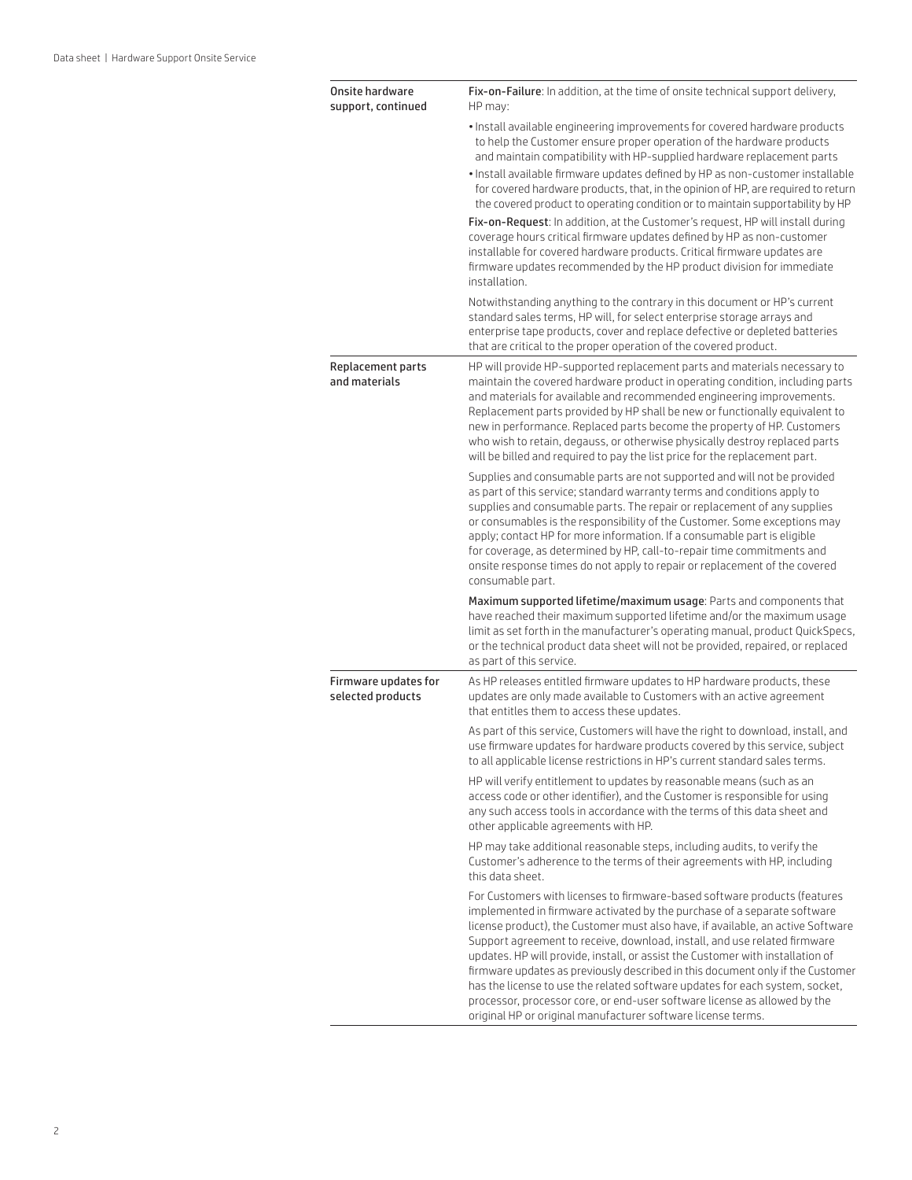| Onsite hardware<br>support, continued     | Fix-on-Failure: In addition, at the time of onsite technical support delivery,<br>HP may:                                                                                                                                                                                                                                                                                                                                                                                                                                                                                                                                                                                                                              |
|-------------------------------------------|------------------------------------------------------------------------------------------------------------------------------------------------------------------------------------------------------------------------------------------------------------------------------------------------------------------------------------------------------------------------------------------------------------------------------------------------------------------------------------------------------------------------------------------------------------------------------------------------------------------------------------------------------------------------------------------------------------------------|
|                                           | . Install available engineering improvements for covered hardware products<br>to help the Customer ensure proper operation of the hardware products<br>and maintain compatibility with HP-supplied hardware replacement parts                                                                                                                                                                                                                                                                                                                                                                                                                                                                                          |
|                                           | . Install available firmware updates defined by HP as non-customer installable<br>for covered hardware products, that, in the opinion of HP, are required to return<br>the covered product to operating condition or to maintain supportability by HP                                                                                                                                                                                                                                                                                                                                                                                                                                                                  |
|                                           | Fix-on-Request: In addition, at the Customer's request, HP will install during<br>coverage hours critical firmware updates defined by HP as non-customer<br>installable for covered hardware products. Critical firmware updates are<br>firmware updates recommended by the HP product division for immediate<br>installation.                                                                                                                                                                                                                                                                                                                                                                                         |
|                                           | Notwithstanding anything to the contrary in this document or HP's current<br>standard sales terms, HP will, for select enterprise storage arrays and<br>enterprise tape products, cover and replace defective or depleted batteries<br>that are critical to the proper operation of the covered product.                                                                                                                                                                                                                                                                                                                                                                                                               |
| Replacement parts<br>and materials        | HP will provide HP-supported replacement parts and materials necessary to<br>maintain the covered hardware product in operating condition, including parts<br>and materials for available and recommended engineering improvements.<br>Replacement parts provided by HP shall be new or functionally equivalent to<br>new in performance. Replaced parts become the property of HP. Customers<br>who wish to retain, degauss, or otherwise physically destroy replaced parts<br>will be billed and required to pay the list price for the replacement part.                                                                                                                                                            |
|                                           | Supplies and consumable parts are not supported and will not be provided<br>as part of this service; standard warranty terms and conditions apply to<br>supplies and consumable parts. The repair or replacement of any supplies<br>or consumables is the responsibility of the Customer. Some exceptions may<br>apply; contact HP for more information. If a consumable part is eligible<br>for coverage, as determined by HP, call-to-repair time commitments and<br>onsite response times do not apply to repair or replacement of the covered<br>consumable part.                                                                                                                                                  |
|                                           | Maximum supported lifetime/maximum usage: Parts and components that<br>have reached their maximum supported lifetime and/or the maximum usage<br>limit as set forth in the manufacturer's operating manual, product QuickSpecs,<br>or the technical product data sheet will not be provided, repaired, or replaced<br>as part of this service.                                                                                                                                                                                                                                                                                                                                                                         |
| Firmware updates for<br>selected products | As HP releases entitled firmware updates to HP hardware products, these<br>updates are only made available to Customers with an active agreement<br>that entitles them to access these updates.                                                                                                                                                                                                                                                                                                                                                                                                                                                                                                                        |
|                                           | As part of this service, Customers will have the right to download, install, and<br>use firmware updates for hardware products covered by this service, subject<br>to all applicable license restrictions in HP's current standard sales terms.                                                                                                                                                                                                                                                                                                                                                                                                                                                                        |
|                                           | HP will verify entitlement to updates by reasonable means (such as an<br>access code or other identifier), and the Customer is responsible for using<br>any such access tools in accordance with the terms of this data sheet and<br>other applicable agreements with HP.                                                                                                                                                                                                                                                                                                                                                                                                                                              |
|                                           | HP may take additional reasonable steps, including audits, to verify the<br>Customer's adherence to the terms of their agreements with HP, including<br>this data sheet.                                                                                                                                                                                                                                                                                                                                                                                                                                                                                                                                               |
|                                           | For Customers with licenses to firmware-based software products (features<br>implemented in firmware activated by the purchase of a separate software<br>license product), the Customer must also have, if available, an active Software<br>Support agreement to receive, download, install, and use related firmware<br>updates. HP will provide, install, or assist the Customer with installation of<br>firmware updates as previously described in this document only if the Customer<br>has the license to use the related software updates for each system, socket,<br>processor, processor core, or end-user software license as allowed by the<br>original HP or original manufacturer software license terms. |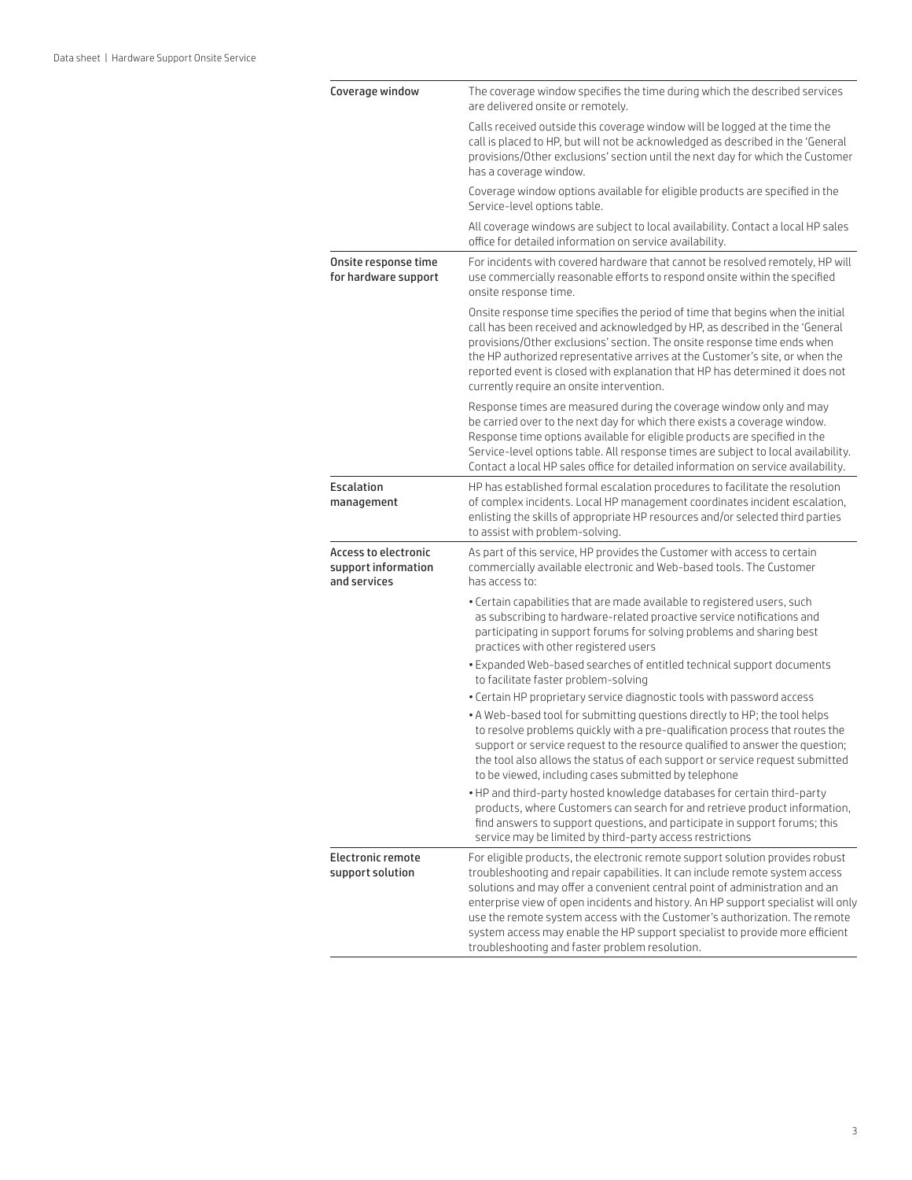| Coverage window                                             | The coverage window specifies the time during which the described services<br>are delivered onsite or remotely.                                                                                                                                                                                                                                                                                                                                                                                                                                   |
|-------------------------------------------------------------|---------------------------------------------------------------------------------------------------------------------------------------------------------------------------------------------------------------------------------------------------------------------------------------------------------------------------------------------------------------------------------------------------------------------------------------------------------------------------------------------------------------------------------------------------|
|                                                             | Calls received outside this coverage window will be logged at the time the<br>call is placed to HP, but will not be acknowledged as described in the 'General<br>provisions/Other exclusions' section until the next day for which the Customer<br>has a coverage window.                                                                                                                                                                                                                                                                         |
|                                                             | Coverage window options available for eligible products are specified in the<br>Service-level options table.                                                                                                                                                                                                                                                                                                                                                                                                                                      |
|                                                             | All coverage windows are subject to local availability. Contact a local HP sales<br>office for detailed information on service availability.                                                                                                                                                                                                                                                                                                                                                                                                      |
| Onsite response time<br>for hardware support                | For incidents with covered hardware that cannot be resolved remotely, HP will<br>use commercially reasonable efforts to respond onsite within the specified<br>onsite response time.                                                                                                                                                                                                                                                                                                                                                              |
|                                                             | Onsite response time specifies the period of time that begins when the initial<br>call has been received and acknowledged by HP, as described in the 'General<br>provisions/Other exclusions' section. The onsite response time ends when<br>the HP authorized representative arrives at the Customer's site, or when the<br>reported event is closed with explanation that HP has determined it does not<br>currently require an onsite intervention.                                                                                            |
|                                                             | Response times are measured during the coverage window only and may<br>be carried over to the next day for which there exists a coverage window.<br>Response time options available for eligible products are specified in the<br>Service-level options table. All response times are subject to local availability.<br>Contact a local HP sales office for detailed information on service availability.                                                                                                                                         |
| <b>Escalation</b><br>management                             | HP has established formal escalation procedures to facilitate the resolution<br>of complex incidents. Local HP management coordinates incident escalation,<br>enlisting the skills of appropriate HP resources and/or selected third parties<br>to assist with problem-solving.                                                                                                                                                                                                                                                                   |
| Access to electronic<br>support information<br>and services | As part of this service, HP provides the Customer with access to certain<br>commercially available electronic and Web-based tools. The Customer<br>has access to:                                                                                                                                                                                                                                                                                                                                                                                 |
|                                                             | . Certain capabilities that are made available to registered users, such<br>as subscribing to hardware-related proactive service notifications and<br>participating in support forums for solving problems and sharing best<br>practices with other registered users                                                                                                                                                                                                                                                                              |
|                                                             | . Expanded Web-based searches of entitled technical support documents<br>to facilitate faster problem-solving                                                                                                                                                                                                                                                                                                                                                                                                                                     |
|                                                             | . Certain HP proprietary service diagnostic tools with password access                                                                                                                                                                                                                                                                                                                                                                                                                                                                            |
|                                                             | . A Web-based tool for submitting questions directly to HP; the tool helps<br>to resolve problems quickly with a pre-qualification process that routes the<br>support or service request to the resource qualified to answer the question;<br>the tool also allows the status of each support or service request submitted<br>to be viewed, including cases submitted by telephone                                                                                                                                                                |
|                                                             | . HP and third-party hosted knowledge databases for certain third-party<br>products, where Customers can search for and retrieve product information,<br>find answers to support questions, and participate in support forums; this<br>service may be limited by third-party access restrictions                                                                                                                                                                                                                                                  |
| Electronic remote<br>support solution                       | For eligible products, the electronic remote support solution provides robust<br>troubleshooting and repair capabilities. It can include remote system access<br>solutions and may offer a convenient central point of administration and an<br>enterprise view of open incidents and history. An HP support specialist will only<br>use the remote system access with the Customer's authorization. The remote<br>system access may enable the HP support specialist to provide more efficient<br>troubleshooting and faster problem resolution. |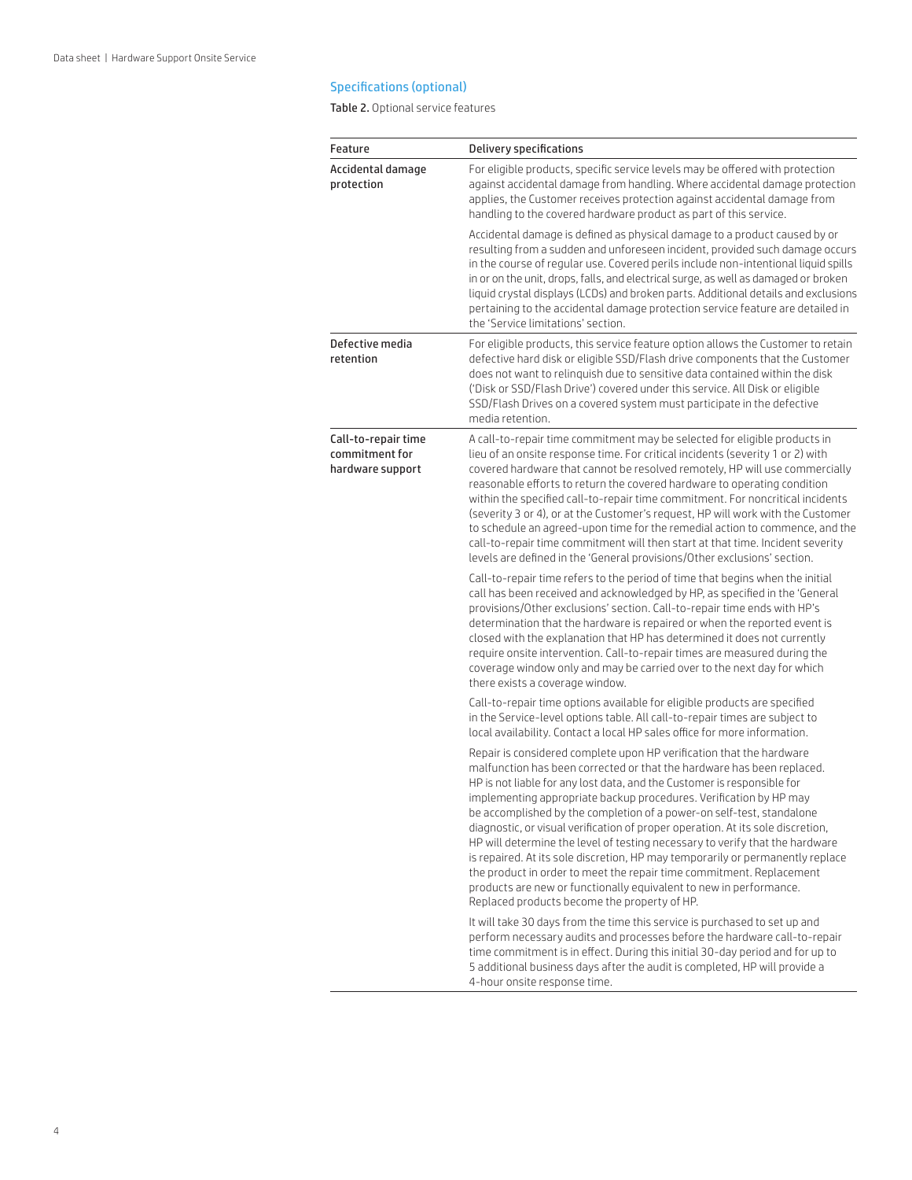#### Specifications (optional)

Table 2. Optional service features

| Feature                                                   | Delivery specifications                                                                                                                                                                                                                                                                                                                                                                                                                                                                                                                                                                                                                                                                                                                                                                                                     |
|-----------------------------------------------------------|-----------------------------------------------------------------------------------------------------------------------------------------------------------------------------------------------------------------------------------------------------------------------------------------------------------------------------------------------------------------------------------------------------------------------------------------------------------------------------------------------------------------------------------------------------------------------------------------------------------------------------------------------------------------------------------------------------------------------------------------------------------------------------------------------------------------------------|
| Accidental damage<br>protection                           | For eligible products, specific service levels may be offered with protection<br>against accidental damage from handling. Where accidental damage protection<br>applies, the Customer receives protection against accidental damage from<br>handling to the covered hardware product as part of this service.                                                                                                                                                                                                                                                                                                                                                                                                                                                                                                               |
|                                                           | Accidental damage is defined as physical damage to a product caused by or<br>resulting from a sudden and unforeseen incident, provided such damage occurs<br>in the course of regular use. Covered perils include non-intentional liquid spills<br>in or on the unit, drops, falls, and electrical surge, as well as damaged or broken<br>liquid crystal displays (LCDs) and broken parts. Additional details and exclusions<br>pertaining to the accidental damage protection service feature are detailed in<br>the 'Service limitations' section.                                                                                                                                                                                                                                                                        |
| Defective media<br>retention                              | For eligible products, this service feature option allows the Customer to retain<br>defective hard disk or eligible SSD/Flash drive components that the Customer<br>does not want to relinguish due to sensitive data contained within the disk<br>('Disk or SSD/Flash Drive') covered under this service. All Disk or eligible<br>SSD/Flash Drives on a covered system must participate in the defective<br>media retention.                                                                                                                                                                                                                                                                                                                                                                                               |
| Call-to-repair time<br>commitment for<br>hardware support | A call-to-repair time commitment may be selected for eligible products in<br>lieu of an onsite response time. For critical incidents (severity 1 or 2) with<br>covered hardware that cannot be resolved remotely, HP will use commercially<br>reasonable efforts to return the covered hardware to operating condition<br>within the specified call-to-repair time commitment. For noncritical incidents<br>(severity 3 or 4), or at the Customer's request, HP will work with the Customer<br>to schedule an agreed-upon time for the remedial action to commence, and the<br>call-to-repair time commitment will then start at that time. Incident severity<br>levels are defined in the 'General provisions/Other exclusions' section.                                                                                   |
|                                                           | Call-to-repair time refers to the period of time that begins when the initial<br>call has been received and acknowledged by HP, as specified in the 'General<br>provisions/Other exclusions' section. Call-to-repair time ends with HP's<br>determination that the hardware is repaired or when the reported event is<br>closed with the explanation that HP has determined it does not currently<br>require onsite intervention. Call-to-repair times are measured during the<br>coverage window only and may be carried over to the next day for which<br>there exists a coverage window.                                                                                                                                                                                                                                 |
|                                                           | Call-to-repair time options available for eligible products are specified<br>in the Service-level options table. All call-to-repair times are subject to<br>local availability. Contact a local HP sales office for more information.                                                                                                                                                                                                                                                                                                                                                                                                                                                                                                                                                                                       |
|                                                           | Repair is considered complete upon HP verification that the hardware<br>malfunction has been corrected or that the hardware has been replaced.<br>HP is not liable for any lost data, and the Customer is responsible for<br>implementing appropriate backup procedures. Verification by HP may<br>be accomplished by the completion of a power-on self-test, standalone<br>diagnostic, or visual verification of proper operation. At its sole discretion,<br>HP will determine the level of testing necessary to verify that the hardware<br>is repaired. At its sole discretion, HP may temporarily or permanently replace<br>the product in order to meet the repair time commitment. Replacement<br>products are new or functionally equivalent to new in performance.<br>Replaced products become the property of HP. |
|                                                           | It will take 30 days from the time this service is purchased to set up and<br>perform necessary audits and processes before the hardware call-to-repair<br>time commitment is in effect. During this initial 30-day period and for up to<br>5 additional business days after the audit is completed, HP will provide a<br>4-hour onsite response time.                                                                                                                                                                                                                                                                                                                                                                                                                                                                      |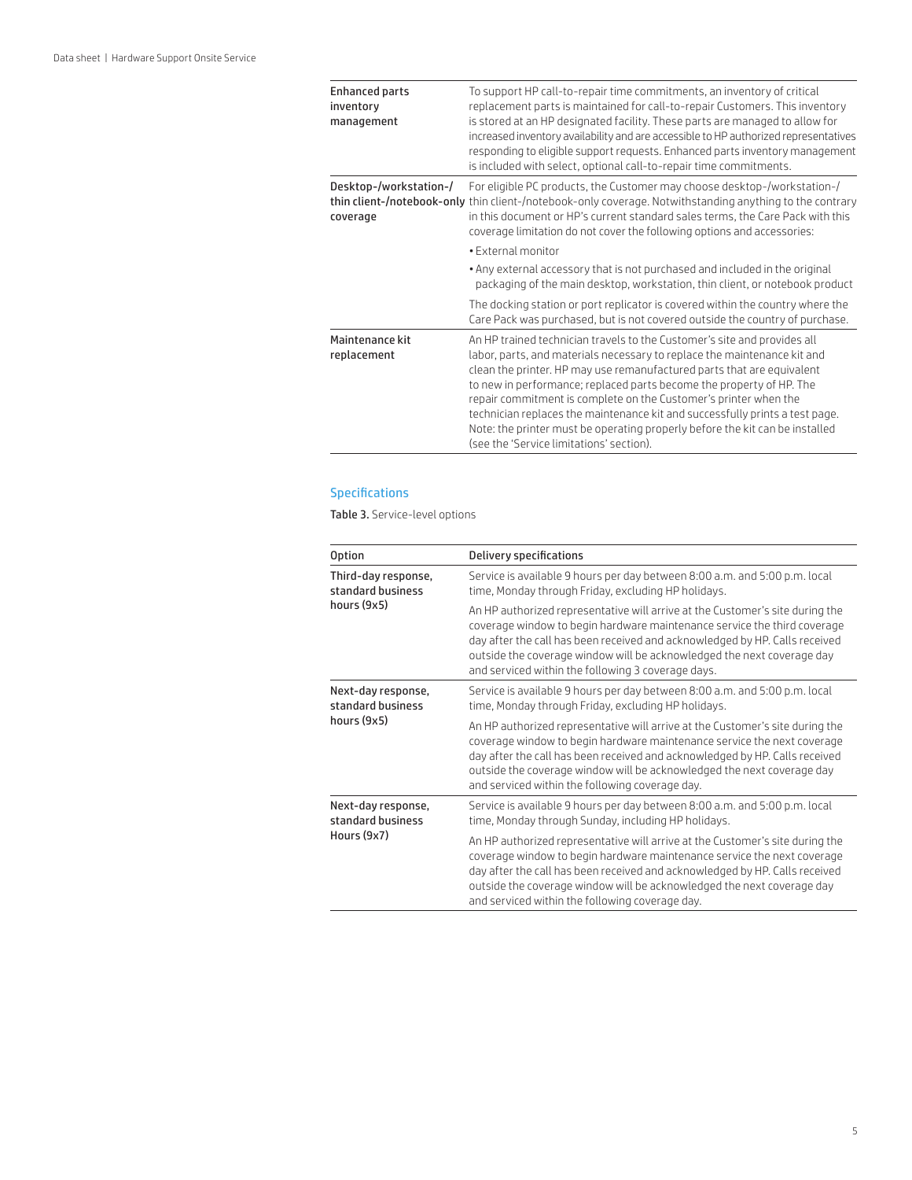| <b>Enhanced parts</b><br>inventory<br>management | To support HP call-to-repair time commitments, an inventory of critical<br>replacement parts is maintained for call-to-repair Customers. This inventory<br>is stored at an HP designated facility. These parts are managed to allow for<br>increased inventory availability and are accessible to HP authorized representatives<br>responding to eligible support requests. Enhanced parts inventory management<br>is included with select, optional call-to-repair time commitments.                                                                                                  |
|--------------------------------------------------|----------------------------------------------------------------------------------------------------------------------------------------------------------------------------------------------------------------------------------------------------------------------------------------------------------------------------------------------------------------------------------------------------------------------------------------------------------------------------------------------------------------------------------------------------------------------------------------|
| Desktop-/workstation-/<br>coverage               | For eligible PC products, the Customer may choose desktop-/workstation-/<br>thin client-/notebook-only thin client-/notebook-only coverage. Notwithstanding anything to the contrary<br>in this document or HP's current standard sales terms, the Care Pack with this<br>coverage limitation do not cover the following options and accessories:                                                                                                                                                                                                                                      |
|                                                  | • External monitor                                                                                                                                                                                                                                                                                                                                                                                                                                                                                                                                                                     |
|                                                  | . Any external accessory that is not purchased and included in the original<br>packaging of the main desktop, workstation, thin client, or notebook product                                                                                                                                                                                                                                                                                                                                                                                                                            |
|                                                  | The docking station or port replicator is covered within the country where the<br>Care Pack was purchased, but is not covered outside the country of purchase.                                                                                                                                                                                                                                                                                                                                                                                                                         |
| Maintenance kit<br>replacement                   | An HP trained technician travels to the Customer's site and provides all<br>labor, parts, and materials necessary to replace the maintenance kit and<br>clean the printer. HP may use remanufactured parts that are equivalent<br>to new in performance; replaced parts become the property of HP. The<br>repair commitment is complete on the Customer's printer when the<br>technician replaces the maintenance kit and successfully prints a test page.<br>Note: the printer must be operating properly before the kit can be installed<br>(see the 'Service limitations' section). |

#### Specifications

Table 3. Service-level options

| <b>Option</b>                                           | <b>Delivery specifications</b>                                                                                                                                                                                                                                                                                                                                           |  |
|---------------------------------------------------------|--------------------------------------------------------------------------------------------------------------------------------------------------------------------------------------------------------------------------------------------------------------------------------------------------------------------------------------------------------------------------|--|
| Third-day response,<br>standard business<br>hours (9x5) | Service is available 9 hours per day between 8:00 a.m. and 5:00 p.m. local<br>time, Monday through Friday, excluding HP holidays.                                                                                                                                                                                                                                        |  |
|                                                         | An HP authorized representative will arrive at the Customer's site during the<br>coverage window to begin hardware maintenance service the third coverage<br>day after the call has been received and acknowledged by HP. Calls received<br>outside the coverage window will be acknowledged the next coverage day<br>and serviced within the following 3 coverage days. |  |
| Next-day response,<br>standard business<br>hours (9x5)  | Service is available 9 hours per day between 8:00 a.m. and 5:00 p.m. local<br>time, Monday through Friday, excluding HP holidays.                                                                                                                                                                                                                                        |  |
|                                                         | An HP authorized representative will arrive at the Customer's site during the<br>coverage window to begin hardware maintenance service the next coverage<br>day after the call has been received and acknowledged by HP. Calls received<br>outside the coverage window will be acknowledged the next coverage day<br>and serviced within the following coverage day.     |  |
| Next-day response,<br>standard business<br>Hours (9x7)  | Service is available 9 hours per day between 8:00 a.m. and 5:00 p.m. local<br>time, Monday through Sunday, including HP holidays.                                                                                                                                                                                                                                        |  |
|                                                         | An HP authorized representative will arrive at the Customer's site during the<br>coverage window to begin hardware maintenance service the next coverage<br>day after the call has been received and acknowledged by HP. Calls received<br>outside the coverage window will be acknowledged the next coverage day<br>and serviced within the following coverage day.     |  |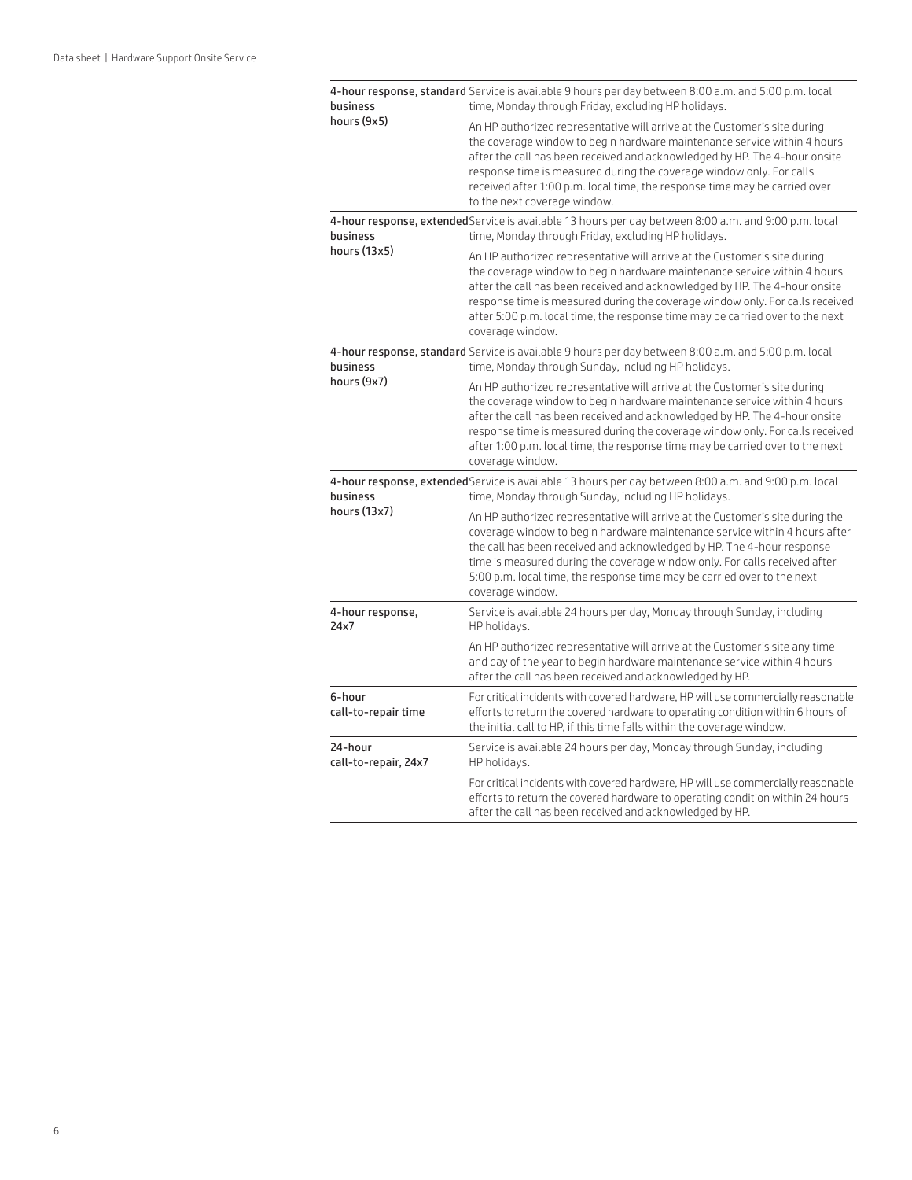| business                        | 4-hour response, standard Service is available 9 hours per day between 8:00 a.m. and 5:00 p.m. local<br>time, Monday through Friday, excluding HP holidays.                                                                                                                                                                                                                                                               |
|---------------------------------|---------------------------------------------------------------------------------------------------------------------------------------------------------------------------------------------------------------------------------------------------------------------------------------------------------------------------------------------------------------------------------------------------------------------------|
| hours (9x5)                     | An HP authorized representative will arrive at the Customer's site during<br>the coverage window to begin hardware maintenance service within 4 hours<br>after the call has been received and acknowledged by HP. The 4-hour onsite<br>response time is measured during the coverage window only. For calls<br>received after 1:00 p.m. local time, the response time may be carried over<br>to the next coverage window. |
| business                        | 4-hour response, extended Service is available 13 hours per day between 8:00 a.m. and 9:00 p.m. local<br>time, Monday through Friday, excluding HP holidays.                                                                                                                                                                                                                                                              |
| hours (13x5)                    | An HP authorized representative will arrive at the Customer's site during<br>the coverage window to begin hardware maintenance service within 4 hours<br>after the call has been received and acknowledged by HP. The 4-hour onsite<br>response time is measured during the coverage window only. For calls received<br>after 5:00 p.m. local time, the response time may be carried over to the next<br>coverage window. |
| business                        | 4-hour response, standard Service is available 9 hours per day between 8:00 a.m. and 5:00 p.m. local<br>time, Monday through Sunday, including HP holidays.                                                                                                                                                                                                                                                               |
| hours (9x7)                     | An HP authorized representative will arrive at the Customer's site during<br>the coverage window to begin hardware maintenance service within 4 hours<br>after the call has been received and acknowledged by HP. The 4-hour onsite<br>response time is measured during the coverage window only. For calls received<br>after 1:00 p.m. local time, the response time may be carried over to the next<br>coverage window. |
| business                        | 4-hour response, extended Service is available 13 hours per day between 8:00 a.m. and 9:00 p.m. local<br>time, Monday through Sunday, including HP holidays.                                                                                                                                                                                                                                                              |
| hours (13x7)                    | An HP authorized representative will arrive at the Customer's site during the<br>coverage window to begin hardware maintenance service within 4 hours after<br>the call has been received and acknowledged by HP. The 4-hour response<br>time is measured during the coverage window only. For calls received after<br>5:00 p.m. local time, the response time may be carried over to the next<br>coverage window.        |
| 4-hour response,<br>24x7        | Service is available 24 hours per day, Monday through Sunday, including<br>HP holidays.                                                                                                                                                                                                                                                                                                                                   |
|                                 | An HP authorized representative will arrive at the Customer's site any time<br>and day of the year to begin hardware maintenance service within 4 hours<br>after the call has been received and acknowledged by HP.                                                                                                                                                                                                       |
| 6-hour<br>call-to-repair time   | For critical incidents with covered hardware, HP will use commercially reasonable<br>efforts to return the covered hardware to operating condition within 6 hours of<br>the initial call to HP, if this time falls within the coverage window.                                                                                                                                                                            |
| 24-hour<br>call-to-repair, 24x7 | Service is available 24 hours per day, Monday through Sunday, including<br>HP holidays.                                                                                                                                                                                                                                                                                                                                   |
|                                 | For critical incidents with covered hardware, HP will use commercially reasonable<br>efforts to return the covered hardware to operating condition within 24 hours<br>after the call has been received and acknowledged by HP.                                                                                                                                                                                            |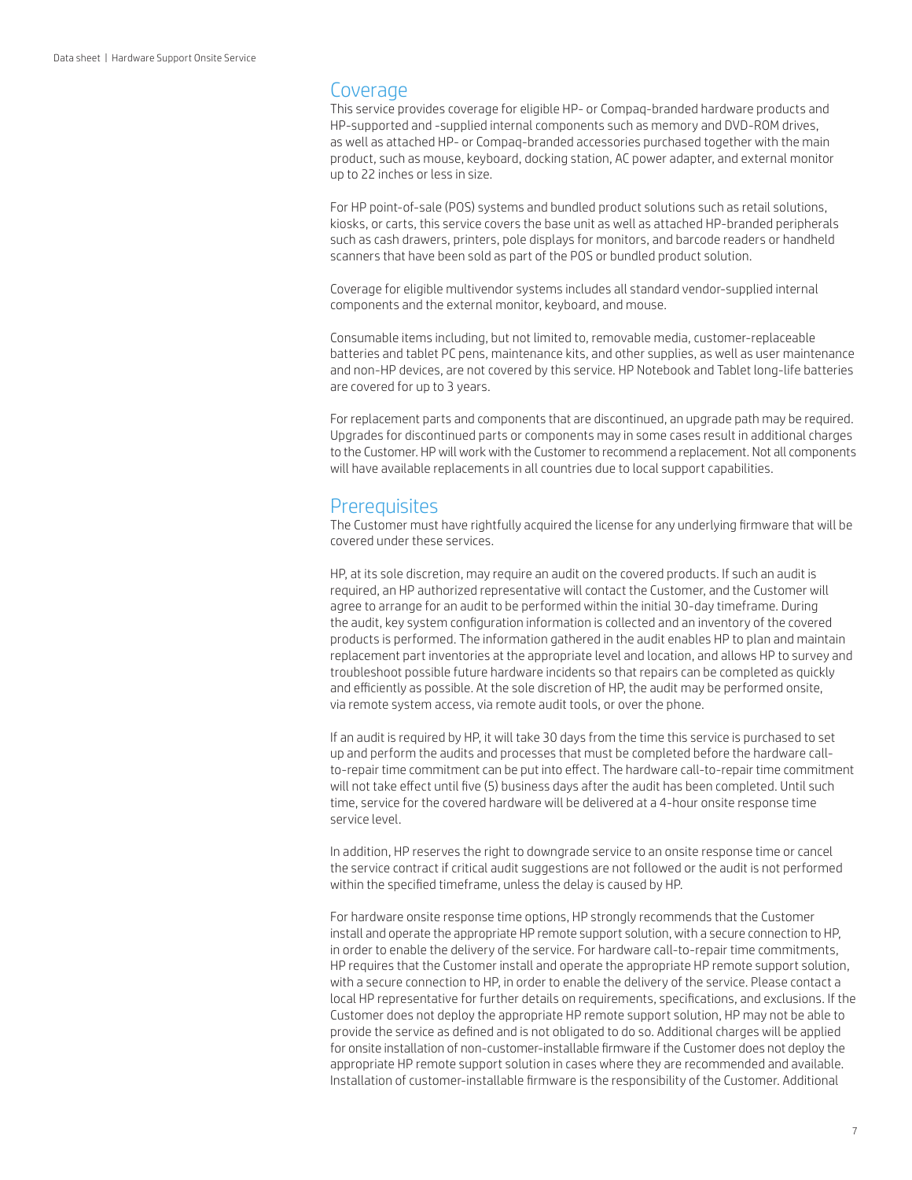#### **Coverage**

This service provides coverage for eligible HP- or Compaq-branded hardware products and HP-supported and -supplied internal components such as memory and DVD-ROM drives, as well as attached HP- or Compaq-branded accessories purchased together with the main product, such as mouse, keyboard, docking station, AC power adapter, and external monitor up to 22 inches or less in size.

For HP point-of-sale (POS) systems and bundled product solutions such as retail solutions, kiosks, or carts, this service covers the base unit as well as attached HP-branded peripherals such as cash drawers, printers, pole displays for monitors, and barcode readers or handheld scanners that have been sold as part of the POS or bundled product solution.

Coverage for eligible multivendor systems includes all standard vendor-supplied internal components and the external monitor, keyboard, and mouse.

Consumable items including, but not limited to, removable media, customer-replaceable batteries and tablet PC pens, maintenance kits, and other supplies, as well as user maintenance and non-HP devices, are not covered by this service. HP Notebook and Tablet long-life batteries are covered for up to 3 years.

For replacement parts and components that are discontinued, an upgrade path may be required. Upgrades for discontinued parts or components may in some cases result in additional charges to the Customer. HP will work with the Customer to recommend a replacement. Not all components will have available replacements in all countries due to local support capabilities.

# **Prerequisites**

The Customer must have rightfully acquired the license for any underlying firmware that will be covered under these services.

HP, at its sole discretion, may require an audit on the covered products. If such an audit is required, an HP authorized representative will contact the Customer, and the Customer will agree to arrange for an audit to be performed within the initial 30-day timeframe. During the audit, key system configuration information is collected and an inventory of the covered products is performed. The information gathered in the audit enables HP to plan and maintain replacement part inventories at the appropriate level and location, and allows HP to survey and troubleshoot possible future hardware incidents so that repairs can be completed as quickly and efficiently as possible. At the sole discretion of HP, the audit may be performed onsite, via remote system access, via remote audit tools, or over the phone.

If an audit is required by HP, it will take 30 days from the time this service is purchased to set up and perform the audits and processes that must be completed before the hardware callto-repair time commitment can be put into effect. The hardware call-to-repair time commitment will not take effect until five (5) business days after the audit has been completed. Until such time, service for the covered hardware will be delivered at a 4-hour onsite response time service level.

In addition, HP reserves the right to downgrade service to an onsite response time or cancel the service contract if critical audit suggestions are not followed or the audit is not performed within the specified timeframe, unless the delay is caused by HP.

For hardware onsite response time options, HP strongly recommends that the Customer install and operate the appropriate HP remote support solution, with a secure connection to HP, in order to enable the delivery of the service. For hardware call-to-repair time commitments, HP requires that the Customer install and operate the appropriate HP remote support solution, with a secure connection to HP, in order to enable the delivery of the service. Please contact a local HP representative for further details on requirements, specifications, and exclusions. If the Customer does not deploy the appropriate HP remote support solution, HP may not be able to provide the service as defined and is not obligated to do so. Additional charges will be applied for onsite installation of non-customer-installable firmware if the Customer does not deploy the appropriate HP remote support solution in cases where they are recommended and available. Installation of customer-installable firmware is the responsibility of the Customer. Additional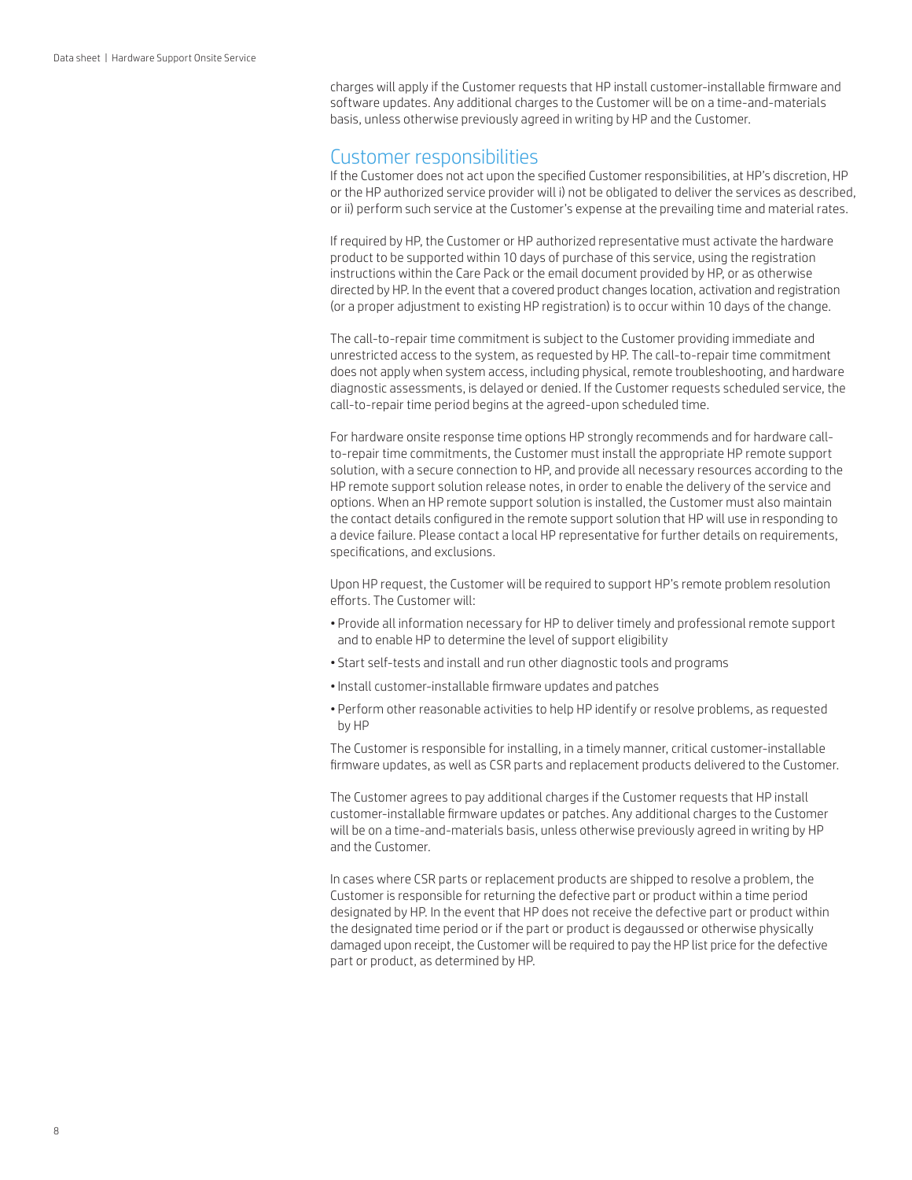charges will apply if the Customer requests that HP install customer-installable firmware and software updates. Any additional charges to the Customer will be on a time-and-materials basis, unless otherwise previously agreed in writing by HP and the Customer.

## Customer responsibilities

If the Customer does not act upon the specified Customer responsibilities, at HP's discretion, HP or the HP authorized service provider will i) not be obligated to deliver the services as described, or ii) perform such service at the Customer's expense at the prevailing time and material rates.

If required by HP, the Customer or HP authorized representative must activate the hardware product to be supported within 10 days of purchase of this service, using the registration instructions within the Care Pack or the email document provided by HP, or as otherwise directed by HP. In the event that a covered product changes location, activation and registration (or a proper adjustment to existing HP registration) is to occur within 10 days of the change.

The call-to-repair time commitment is subject to the Customer providing immediate and unrestricted access to the system, as requested by HP. The call-to-repair time commitment does not apply when system access, including physical, remote troubleshooting, and hardware diagnostic assessments, is delayed or denied. If the Customer requests scheduled service, the call-to-repair time period begins at the agreed-upon scheduled time.

For hardware onsite response time options HP strongly recommends and for hardware callto-repair time commitments, the Customer must install the appropriate HP remote support solution, with a secure connection to HP, and provide all necessary resources according to the HP remote support solution release notes, in order to enable the delivery of the service and options. When an HP remote support solution is installed, the Customer must also maintain the contact details configured in the remote support solution that HP will use in responding to a device failure. Please contact a local HP representative for further details on requirements, specifications, and exclusions.

Upon HP request, the Customer will be required to support HP's remote problem resolution efforts. The Customer will:

- Provide all information necessary for HP to deliver timely and professional remote support and to enable HP to determine the level of support eligibility
- Start self-tests and install and run other diagnostic tools and programs
- •Install customer-installable firmware updates and patches
- Perform other reasonable activities to help HP identify or resolve problems, as requested by HP

The Customer is responsible for installing, in a timely manner, critical customer-installable firmware updates, as well as CSR parts and replacement products delivered to the Customer.

The Customer agrees to pay additional charges if the Customer requests that HP install customer-installable firmware updates or patches. Any additional charges to the Customer will be on a time-and-materials basis, unless otherwise previously agreed in writing by HP and the Customer.

In cases where CSR parts or replacement products are shipped to resolve a problem, the Customer is responsible for returning the defective part or product within a time period designated by HP. In the event that HP does not receive the defective part or product within the designated time period or if the part or product is degaussed or otherwise physically damaged upon receipt, the Customer will be required to pay the HP list price for the defective part or product, as determined by HP.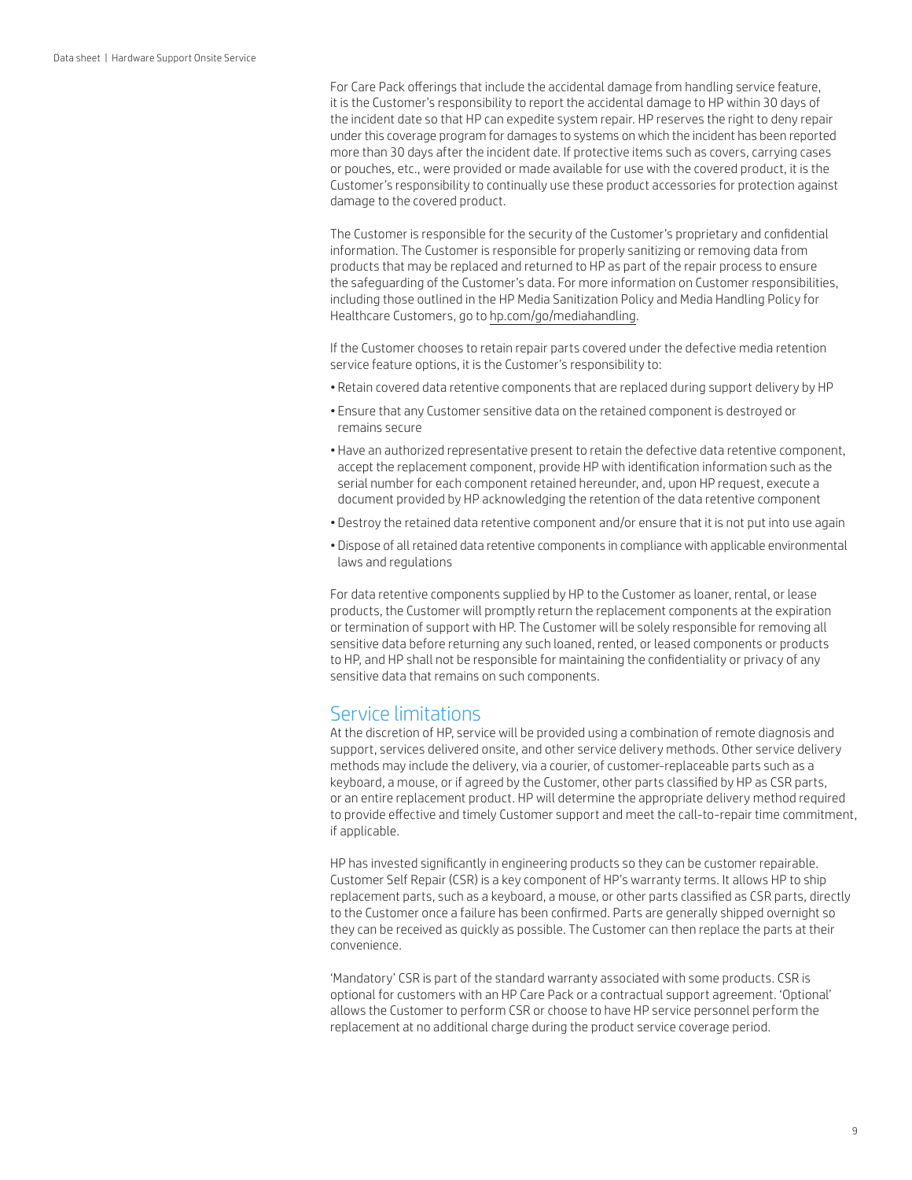For Care Pack offerings that include the accidental damage from handling service feature, it is the Customer's responsibility to report the accidental damage to HP within 30 days of the incident date so that HP can expedite system repair. HP reserves the right to deny repair under this coverage program for damages to systems on which the incident has been reported more than 30 days after the incident date. If protective items such as covers, carrying cases or pouches, etc., were provided or made available for use with the covered product, it is the Customer's responsibility to continually use these product accessories for protection against damage to the covered product.

The Customer is responsible for the security of the Customer's proprietary and confidential information. The Customer is responsible for properly sanitizing or removing data from products that may be replaced and returned to HP as part of the repair process to ensure the safeguarding of the Customer's data. For more information on Customer responsibilities, including those outlined in the HP Media Sanitization Policy and Media Handling Policy for Healthcare Customers, go to [hp.com/go/mediahandling](http://www.hp.com/go/mediahandling).

If the Customer chooses to retain repair parts covered under the defective media retention service feature options, it is the Customer's responsibility to:

- Retain covered data retentive components that are replaced during support delivery by HP
- Ensure that any Customer sensitive data on the retained component is destroyed or remains secure
- Have an authorized representative present to retain the defective data retentive component, accept the replacement component, provide HP with identification information such as the serial number for each component retained hereunder, and, upon HP request, execute a document provided by HP acknowledging the retention of the data retentive component
- Destroy the retained data retentive component and/or ensure that it is not put into use again
- Dispose of all retained data retentive components in compliance with applicable environmental laws and regulations

For data retentive components supplied by HP to the Customer as loaner, rental, or lease products, the Customer will promptly return the replacement components at the expiration or termination of support with HP. The Customer will be solely responsible for removing all sensitive data before returning any such loaned, rented, or leased components or products to HP, and HP shall not be responsible for maintaining the confidentiality or privacy of any sensitive data that remains on such components.

## Service limitations

At the discretion of HP, service will be provided using a combination of remote diagnosis and support, services delivered onsite, and other service delivery methods. Other service delivery methods may include the delivery, via a courier, of customer-replaceable parts such as a keyboard, a mouse, or if agreed by the Customer, other parts classified by HP as CSR parts, or an entire replacement product. HP will determine the appropriate delivery method required to provide effective and timely Customer support and meet the call-to-repair time commitment, if applicable.

HP has invested significantly in engineering products so they can be customer repairable. Customer Self Repair (CSR) is a key component of HP's warranty terms. It allows HP to ship replacement parts, such as a keyboard, a mouse, or other parts classified as CSR parts, directly to the Customer once a failure has been confirmed. Parts are generally shipped overnight so they can be received as quickly as possible. The Customer can then replace the parts at their convenience.

'Mandatory' CSR is part of the standard warranty associated with some products. CSR is optional for customers with an HP Care Pack or a contractual support agreement. 'Optional' allows the Customer to perform CSR or choose to have HP service personnel perform the replacement at no additional charge during the product service coverage period.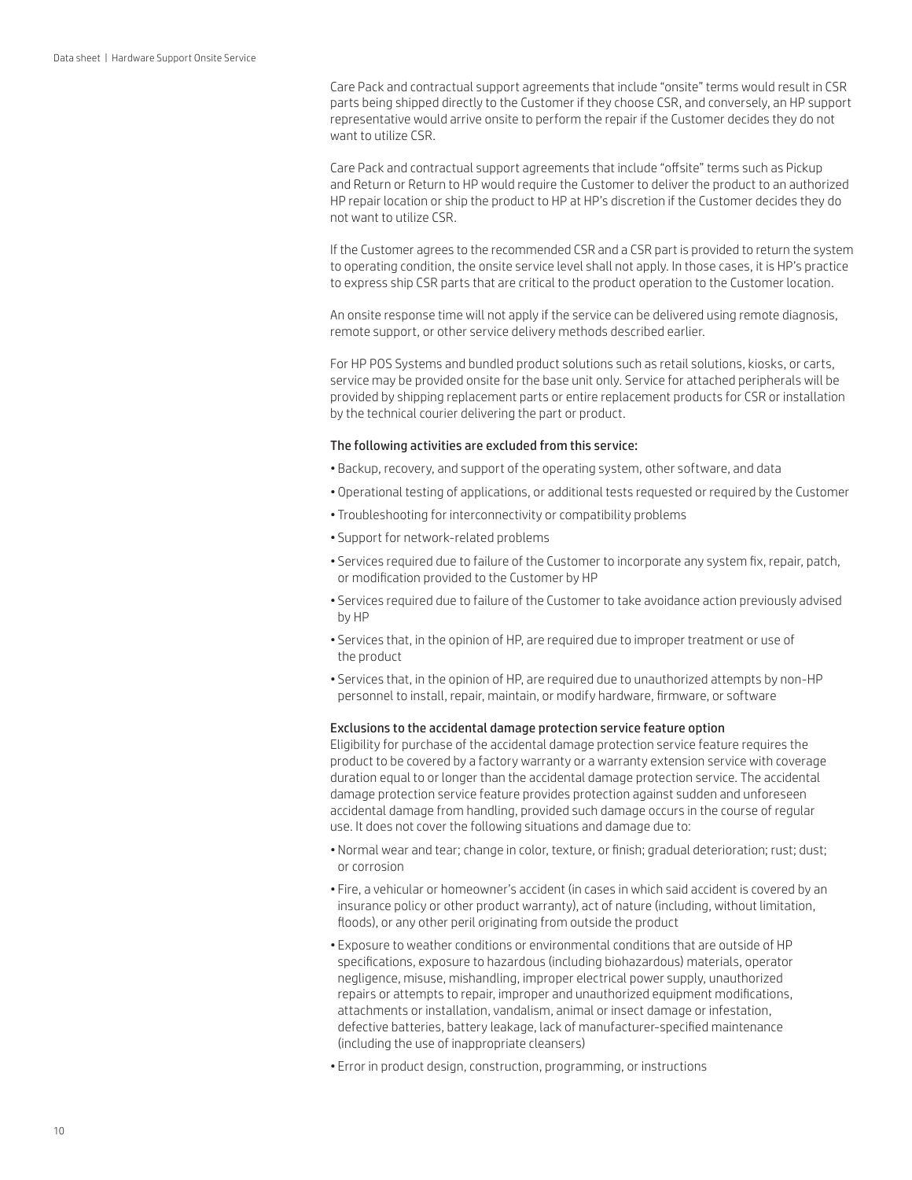Care Pack and contractual support agreements that include "onsite" terms would result in CSR parts being shipped directly to the Customer if they choose CSR, and conversely, an HP support representative would arrive onsite to perform the repair if the Customer decides they do not want to utilize CSR.

Care Pack and contractual support agreements that include "offsite" terms such as Pickup and Return or Return to HP would require the Customer to deliver the product to an authorized HP repair location or ship the product to HP at HP's discretion if the Customer decides they do not want to utilize CSR.

If the Customer agrees to the recommended CSR and a CSR part is provided to return the system to operating condition, the onsite service level shall not apply. In those cases, it is HP's practice to express ship CSR parts that are critical to the product operation to the Customer location.

An onsite response time will not apply if the service can be delivered using remote diagnosis, remote support, or other service delivery methods described earlier.

For HP POS Systems and bundled product solutions such as retail solutions, kiosks, or carts, service may be provided onsite for the base unit only. Service for attached peripherals will be provided by shipping replacement parts or entire replacement products for CSR or installation by the technical courier delivering the part or product.

#### The following activities are excluded from this service:

- Backup, recovery, and support of the operating system, other software, and data
- Operational testing of applications, or additional tests requested or required by the Customer
- Troubleshooting for interconnectivity or compatibility problems
- Support for network-related problems
- Services required due to failure of the Customer to incorporate any system fix, repair, patch, or modification provided to the Customer by HP
- Services required due to failure of the Customer to take avoidance action previously advised by HP
- Services that, in the opinion of HP, are required due to improper treatment or use of the product
- Services that, in the opinion of HP, are required due to unauthorized attempts by non-HP personnel to install, repair, maintain, or modify hardware, firmware, or software

#### Exclusions to the accidental damage protection service feature option

Eligibility for purchase of the accidental damage protection service feature requires the product to be covered by a factory warranty or a warranty extension service with coverage duration equal to or longer than the accidental damage protection service. The accidental damage protection service feature provides protection against sudden and unforeseen accidental damage from handling, provided such damage occurs in the course of regular use. It does not cover the following situations and damage due to:

- Normal wear and tear; change in color, texture, or finish; gradual deterioration; rust; dust; or corrosion
- Fire, a vehicular or homeowner's accident (in cases in which said accident is covered by an insurance policy or other product warranty), act of nature (including, without limitation, floods), or any other peril originating from outside the product
- Exposure to weather conditions or environmental conditions that are outside of HP specifications, exposure to hazardous (including biohazardous) materials, operator negligence, misuse, mishandling, improper electrical power supply, unauthorized repairs or attempts to repair, improper and unauthorized equipment modifications, attachments or installation, vandalism, animal or insect damage or infestation, defective batteries, battery leakage, lack of manufacturer-specified maintenance (including the use of inappropriate cleansers)
- Error in product design, construction, programming, or instructions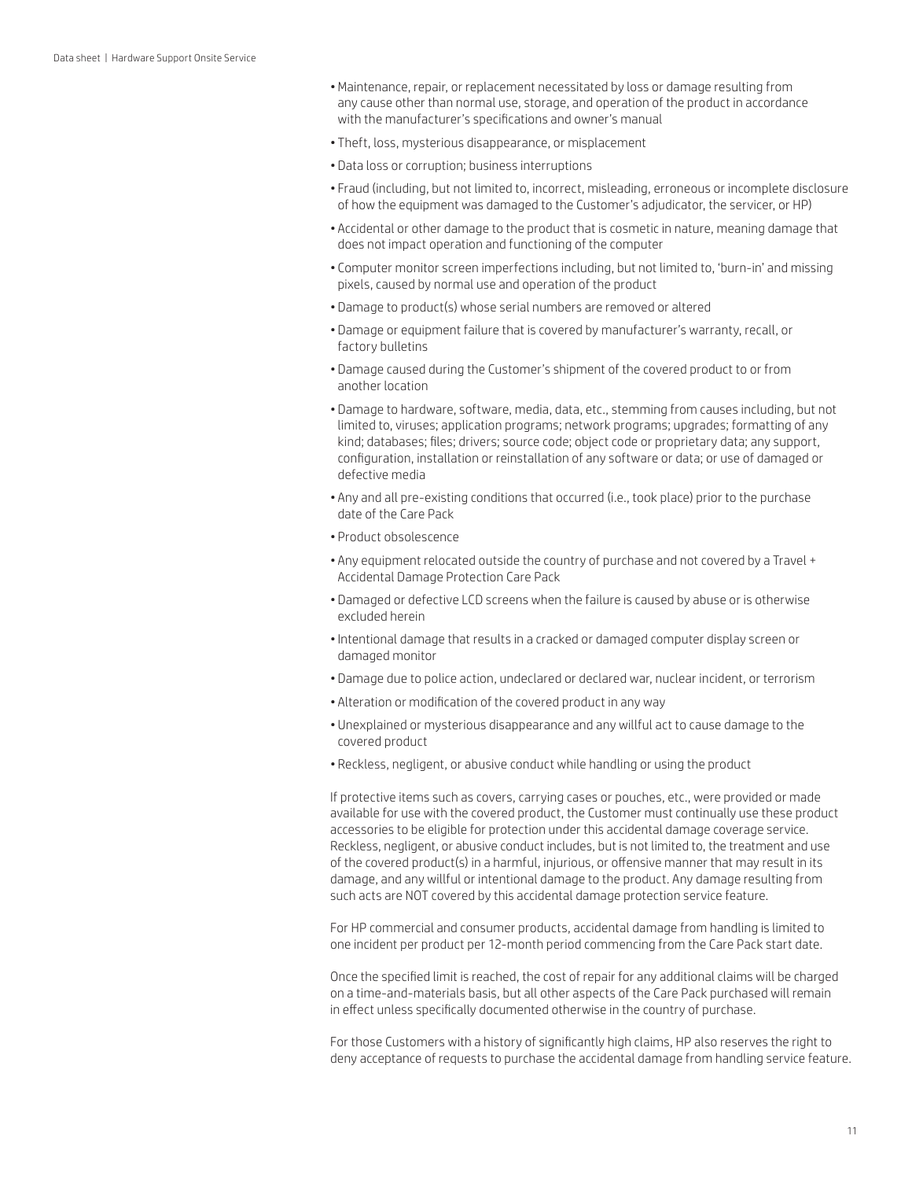- •Maintenance, repair, or replacement necessitated by loss or damage resulting from any cause other than normal use, storage, and operation of the product in accordance with the manufacturer's specifications and owner's manual
- Theft, loss, mysterious disappearance, or misplacement
- Data loss or corruption; business interruptions
- Fraud (including, but not limited to, incorrect, misleading, erroneous or incomplete disclosure of how the equipment was damaged to the Customer's adjudicator, the servicer, or HP)
- Accidental or other damage to the product that is cosmetic in nature, meaning damage that does not impact operation and functioning of the computer
- Computer monitor screen imperfections including, but not limited to, 'burn-in' and missing pixels, caused by normal use and operation of the product
- Damage to product(s) whose serial numbers are removed or altered
- Damage or equipment failure that is covered by manufacturer's warranty, recall, or factory bulletins
- Damage caused during the Customer's shipment of the covered product to or from another location
- Damage to hardware, software, media, data, etc., stemming from causes including, but not limited to, viruses; application programs; network programs; upgrades; formatting of any kind; databases; files; drivers; source code; object code or proprietary data; any support, configuration, installation or reinstallation of any software or data; or use of damaged or defective media
- Any and all pre-existing conditions that occurred (i.e., took place) prior to the purchase date of the Care Pack
- Product obsolescence
- Any equipment relocated outside the country of purchase and not covered by a Travel + Accidental Damage Protection Care Pack
- Damaged or defective LCD screens when the failure is caused by abuse or is otherwise excluded herein
- •Intentional damage that results in a cracked or damaged computer display screen or damaged monitor
- Damage due to police action, undeclared or declared war, nuclear incident, or terrorism
- Alteration or modification of the covered product in any way
- Unexplained or mysterious disappearance and any willful act to cause damage to the covered product
- Reckless, negligent, or abusive conduct while handling or using the product

If protective items such as covers, carrying cases or pouches, etc., were provided or made available for use with the covered product, the Customer must continually use these product accessories to be eligible for protection under this accidental damage coverage service. Reckless, negligent, or abusive conduct includes, but is not limited to, the treatment and use of the covered product(s) in a harmful, injurious, or offensive manner that may result in its damage, and any willful or intentional damage to the product. Any damage resulting from such acts are NOT covered by this accidental damage protection service feature.

For HP commercial and consumer products, accidental damage from handling is limited to one incident per product per 12-month period commencing from the Care Pack start date.

Once the specified limit is reached, the cost of repair for any additional claims will be charged on a time-and-materials basis, but all other aspects of the Care Pack purchased will remain in effect unless specifically documented otherwise in the country of purchase.

For those Customers with a history of significantly high claims, HP also reserves the right to deny acceptance of requests to purchase the accidental damage from handling service feature.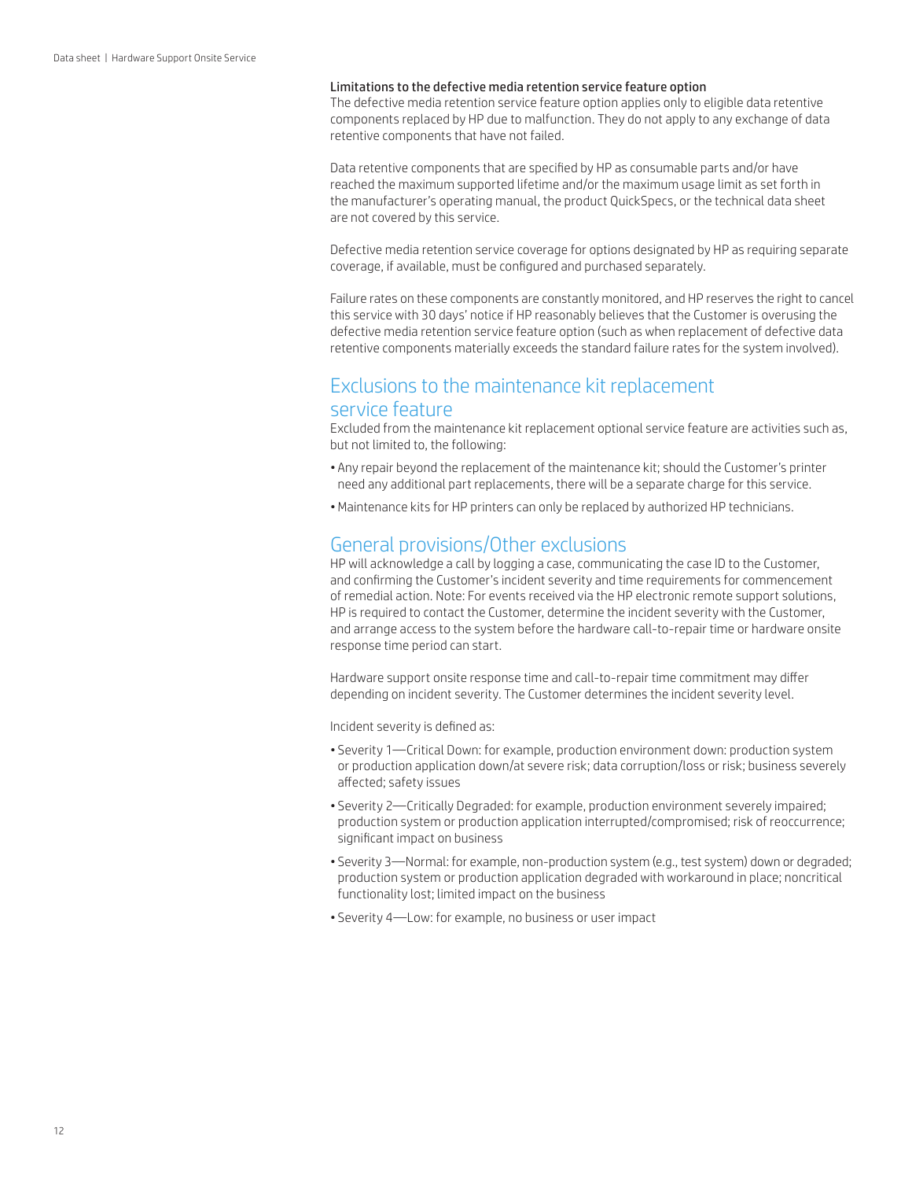#### Limitations to the defective media retention service feature option

The defective media retention service feature option applies only to eligible data retentive components replaced by HP due to malfunction. They do not apply to any exchange of data retentive components that have not failed.

Data retentive components that are specified by HP as consumable parts and/or have reached the maximum supported lifetime and/or the maximum usage limit as set forth in the manufacturer's operating manual, the product QuickSpecs, or the technical data sheet are not covered by this service.

Defective media retention service coverage for options designated by HP as requiring separate coverage, if available, must be configured and purchased separately.

Failure rates on these components are constantly monitored, and HP reserves the right to cancel this service with 30 days' notice if HP reasonably believes that the Customer is overusing the defective media retention service feature option (such as when replacement of defective data retentive components materially exceeds the standard failure rates for the system involved).

# Exclusions to the maintenance kit replacement

# service feature

Excluded from the maintenance kit replacement optional service feature are activities such as, but not limited to, the following:

- Any repair beyond the replacement of the maintenance kit; should the Customer's printer need any additional part replacements, there will be a separate charge for this service.
- •Maintenance kits for HP printers can only be replaced by authorized HP technicians.

### General provisions/Other exclusions

HP will acknowledge a call by logging a case, communicating the case ID to the Customer, and confirming the Customer's incident severity and time requirements for commencement of remedial action. Note: For events received via the HP electronic remote support solutions, HP is required to contact the Customer, determine the incident severity with the Customer, and arrange access to the system before the hardware call-to-repair time or hardware onsite response time period can start.

Hardware support onsite response time and call-to-repair time commitment may differ depending on incident severity. The Customer determines the incident severity level.

Incident severity is defined as:

- Severity 1—Critical Down: for example, production environment down: production system or production application down/at severe risk; data corruption/loss or risk; business severely affected; safety issues
- Severity 2—Critically Degraded: for example, production environment severely impaired; production system or production application interrupted/compromised; risk of reoccurrence; significant impact on business
- Severity 3—Normal: for example, non-production system (e.g., test system) down or degraded; production system or production application degraded with workaround in place; noncritical functionality lost; limited impact on the business
- Severity 4—Low: for example, no business or user impact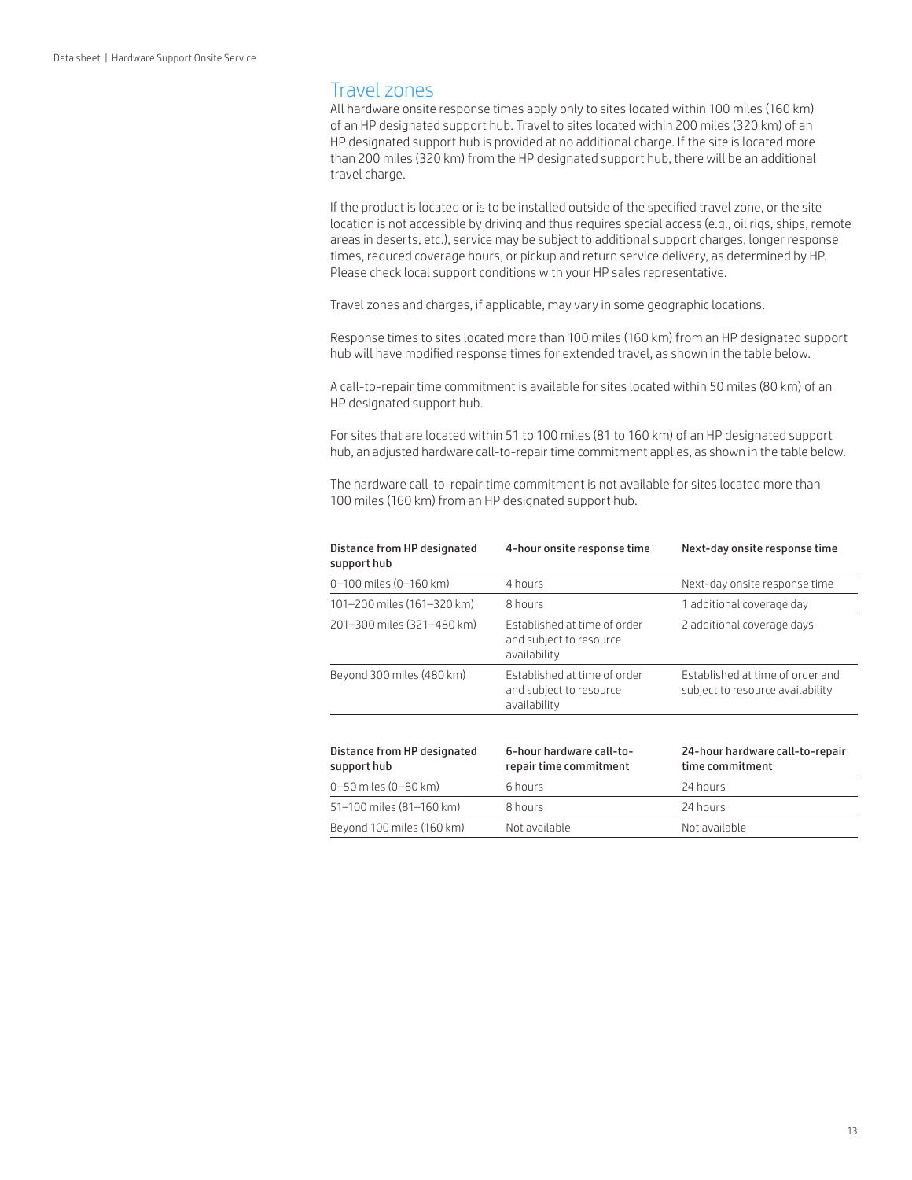# Travel zones

All hardware onsite response times apply only to sites located within 100 miles (160 km) of an HP designated support hub. Travel to sites located within 200 miles (320 km) of an HP designated support hub is provided at no additional charge. If the site is located more than 200 miles (320 km) from the HP designated support hub, there will be an additional travel charge.

If the product is located or is to be installed outside of the specified travel zone, or the site location is not accessible by driving and thus requires special access (e.g., oil rigs, ships, remote areas in deserts, etc.), service may be subject to additional support charges, longer response times, reduced coverage hours, or pickup and return service delivery, as determined by HP. Please check local support conditions with your HP sales representative.

Travel zones and charges, if applicable, may vary in some geographic locations.

Response times to sites located more than 100 miles (160 km) from an HP designated support hub will have modified response times for extended travel, as shown in the table below.

A call-to-repair time commitment is available for sites located within 50 miles (80 km) of an HP designated support hub.

For sites that are located within 51 to 100 miles (81 to 160 km) of an HP designated support hub, an adjusted hardware call-to-repair time commitment applies, as shown in the table below.

The hardware call-to-repair time commitment is not available for sites located more than 100 miles (160 km) from an HP designated support hub.

| Distance from HP designated<br>support hub | 4-hour onsite response time                                             | Next-day onsite response time                                        |
|--------------------------------------------|-------------------------------------------------------------------------|----------------------------------------------------------------------|
| 0-100 miles (0-160 km)                     | 4 hours                                                                 | Next-day onsite response time                                        |
| 101-200 miles (161-320 km)                 | 8 hours                                                                 | 1 additional coverage day                                            |
| 201-300 miles (321-480 km)                 | Established at time of order<br>and subject to resource<br>availability | 2 additional coverage days                                           |
| Beyond 300 miles (480 km)                  | Established at time of order<br>and subject to resource<br>availability | Established at time of order and<br>subject to resource availability |
| Distance from HP designated<br>support hub | 6-hour hardware call-to-<br>repair time commitment                      | 24-hour hardware call-to-repair<br>time commitment                   |
| 0-50 miles (0-80 km)                       | 6 hours                                                                 | 24 hours                                                             |
| 51-100 miles (81-160 km)                   | 8 hours                                                                 | 24 hours                                                             |
| Beyond 100 miles (160 km)                  | Not available                                                           | Not available                                                        |